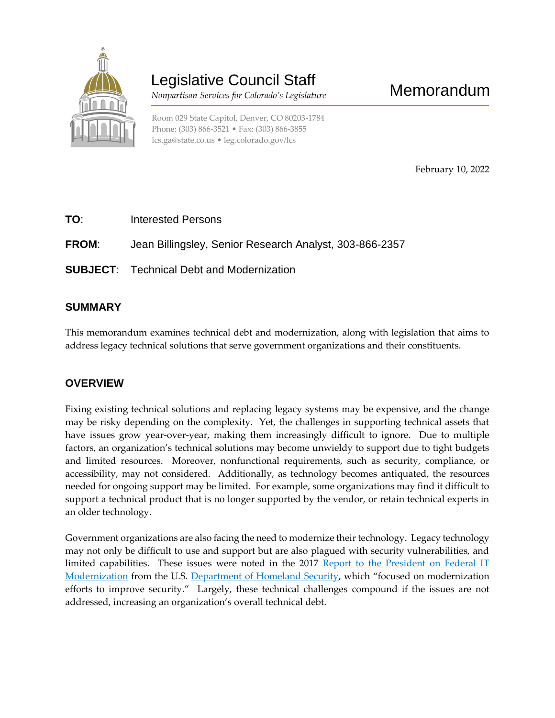

# Legislative Council Staff

 *Nonpartisan Services for Colorado's Legislature*

February 10, 2022

Memorandum

**TO**: Interested Persons

**FROM**: Jean Billingsley, Senior Research Analyst, 303-866-2357

**SUBJECT**: Technical Debt and Modernization

### **SUMMARY**

This memorandum examines technical debt and modernization, along with legislation that aims to address legacy technical solutions that serve government organizations and their constituents.

### **OVERVIEW**

Fixing existing technical solutions and replacing legacy systems may be expensive, and the change may be risky depending on the complexity. Yet, the challenges in supporting technical assets that have issues grow year-over-year, making them increasingly difficult to ignore. Due to multiple factors, an organization's technical solutions may become unwieldy to support due to tight budgets and limited resources. Moreover, nonfunctional requirements, such as security, compliance, or accessibility, may not considered. Additionally, as technology becomes antiquated, the resources needed for ongoing support may be limited. For example, some organizations may find it difficult to support a technical product that is no longer supported by the vendor, or retain technical experts in an older technology.

Government organizations are also facing the need to modernize their technology. Legacy technology may not only be difficult to use and support but are also plagued with security vulnerabilities, and limited capabilities. These issues were noted in the 2017 Report to the President on Federal IT [Modernization](https://www.cio.gov/assets/resources/Report-to-the-President-on-IT-Modernization-Final.pdf) from the U.S. [Department of Homeland Security](https://www.cisa.gov/executive-order-strengthening-cybersecurity-federal-networks-and-critical-infrastructure), which "focused on modernization efforts to improve security." Largely, these technical challenges compound if the issues are not addressed, increasing an organization's overall technical debt.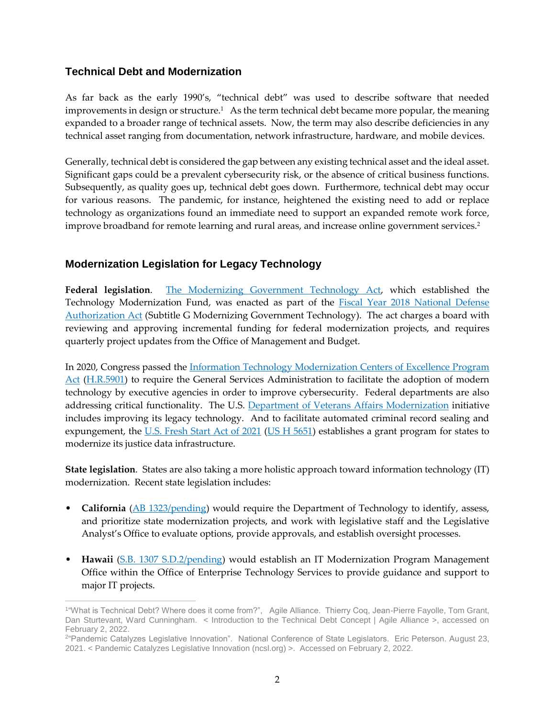### **Technical Debt and Modernization**

As far back as the early 1990's, "technical debt" was used to describe software that needed improvements in design or structure.<sup>1</sup> As the term technical debt became more popular, the meaning expanded to a broader range of technical assets. Now, the term may also describe deficiencies in any technical asset ranging from documentation, network infrastructure, hardware, and mobile devices.

Generally, technical debt is considered the gap between any existing technical asset and the ideal asset. Significant gaps could be a prevalent cybersecurity risk, or the absence of critical business functions. Subsequently, as quality goes up, technical debt goes down. Furthermore, technical debt may occur for various reasons. The pandemic, for instance, heightened the existing need to add or replace technology as organizations found an immediate need to support an expanded remote work force, improve broadband for remote learning and rural areas, and increase online government services.<sup>2</sup>

## **Modernization Legislation for Legacy Technology**

**Federal legislation**. [The Modernizing Government Technology Act,](https://tmf.cio.gov/_pages/documents/pdfs/mgt-act-final.pdf) which established the Technology Modernization Fund, was enacted as part of the **Fiscal Year 2018** National Defense [Authorization Act](https://www.congress.gov/bill/115th-congress/house-bill/2810) (Subtitle G Modernizing Government Technology). The act charges a board with reviewing and approving incremental funding for federal modernization projects, and requires quarterly project updates from the Office of Management and Budget.

In 2020, Congress passed the [Information Technology Modernization Centers of Excellence Program](https://www.congress.gov/bill/116th-congress/house-bill/5901)  [Act](https://www.congress.gov/bill/116th-congress/house-bill/5901) [\(H.R.5901\)](https://www.congress.gov/bill/116th-congress/house-bill/5901) to require the General Services Administration to facilitate the adoption of modern technology by executive agencies in order to improve cybersecurity. Federal departments are also addressing critical functionality. The U.S. [Department of Veterans Affairs Modernization](https://www.va.gov/modernization/) initiative includes improving its legacy technology. And to facilitate automated criminal record sealing and expungement, the [U.S. Fresh Start Act of 2021](https://www.congress.gov/bill/117th-congress/house-bill/5651/text?r=55&s=1) (US  $H$  5651) establishes a grant program for states to modernize its justice data infrastructure.

**State legislation**. States are also taking a more holistic approach toward information technology (IT) modernization. Recent state legislation includes:

- **California** [\(AB 1323/pending\)](https://custom.statenet.com/public/resources.cgi?id=ID:bill:CA2021000A1323&ciq=ncsl&client_md=1886497bc53945b486b884c49905892a&mode=current_text) would require the Department of Technology to identify, assess, and prioritize state modernization projects, and work with legislative staff and the Legislative Analyst's Office to evaluate options, provide approvals, and establish oversight processes.
- **Hawaii** [\(S.B. 1307 S.D.2/pending\)](https://custom.statenet.com/public/resources.cgi?id=ID:bill:HI2021000S1307&ciq=ncsl&client_md=ade844cff740f74f9f2ad5f4eb2d1e51&mode=current_text) would establish an IT Modernization Program Management Office within the Office of Enterprise Technology Services to provide guidance and support to major IT projects.

 $\overline{a}$ 1 "What is Technical Debt? Where does it come from?", Agile Alliance. Thierry Coq, Jean-Pierre Fayolle, Tom Grant, Dan Sturtevant, Ward Cunningham. < Introduction to the Technical Debt Concept | Agile Alliance >, accessed on February 2, 2022.

<sup>2</sup> "Pandemic Catalyzes Legislative Innovation". National Conference of State Legislators. Eric Peterson. August 23, 2021. < Pandemic Catalyzes Legislative Innovation (ncsl.org) >. Accessed on February 2, 2022.